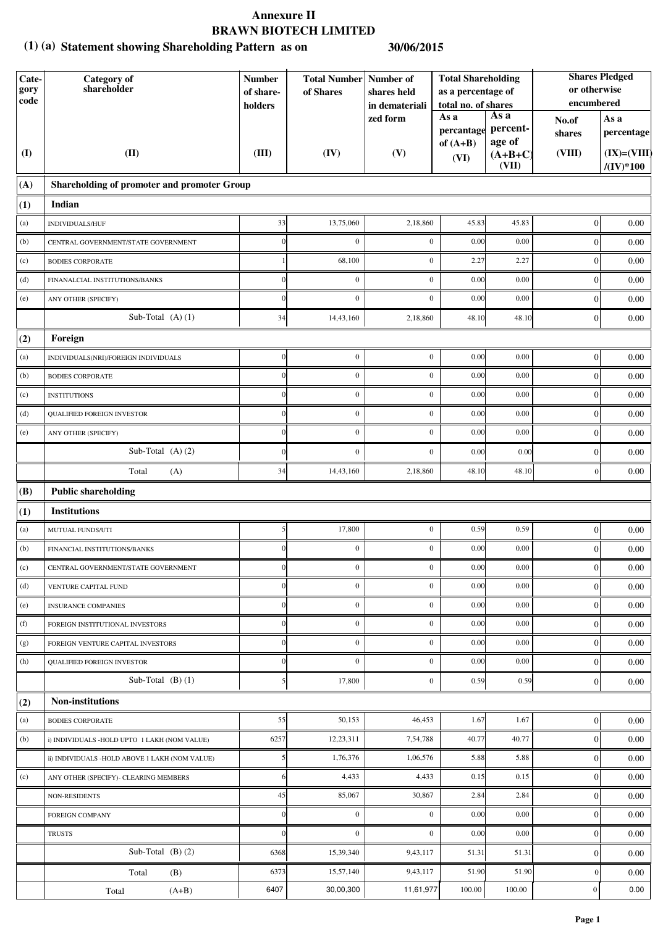#### **Statement showing Shareholding Pattern as on (1) (a) 30/06/2015**

| Cate-<br>gory<br>$\mathbf{code}$ | <b>Category</b> of<br>shareholder              | <b>Total Shareholding</b><br><b>Total Number Number of</b><br><b>Number</b><br>as a percentage of<br>of Shares<br>of share-<br>shares held<br>total no. of shares<br>holders<br>in demateriali |                  |                  | or otherwise<br>encumbered       | <b>Shares Pledged</b>      |                  |                                        |
|----------------------------------|------------------------------------------------|------------------------------------------------------------------------------------------------------------------------------------------------------------------------------------------------|------------------|------------------|----------------------------------|----------------------------|------------------|----------------------------------------|
|                                  |                                                |                                                                                                                                                                                                |                  | zed form         | As a<br>percantage<br>of $(A+B)$ | As a<br>percent-<br>age of | No.of<br>shares  | As a<br>percentage                     |
| $\mathbf{I}$                     | (II)                                           | (III)                                                                                                                                                                                          | (IV)             | (V)              | (VI)                             | $(A+B+C)$<br>(VII)         | (VIII)           | $(IX)=(VIII)$<br>$/(\mathrm{IV})^*100$ |
| (A)                              | Shareholding of promoter and promoter Group    |                                                                                                                                                                                                |                  |                  |                                  |                            |                  |                                        |
| (1)                              | Indian                                         |                                                                                                                                                                                                |                  |                  |                                  |                            |                  |                                        |
| (a)                              | INDIVIDUALS/HUF                                | 33                                                                                                                                                                                             | 13,75,060        | 2,18,860         | 45.83                            | 45.83                      | $\boldsymbol{0}$ | 0.00                                   |
| (b)                              | CENTRAL GOVERNMENT/STATE GOVERNMENT            |                                                                                                                                                                                                | $\boldsymbol{0}$ | $\boldsymbol{0}$ | 0.00                             | 0.00                       | $\boldsymbol{0}$ | 0.00                                   |
| (c)                              | <b>BODIES CORPORATE</b>                        |                                                                                                                                                                                                | 68,100           | $\boldsymbol{0}$ | 2.27                             | 2.27                       | $\boldsymbol{0}$ | 0.00                                   |
| (d)                              | FINANALCIAL INSTITUTIONS/BANKS                 |                                                                                                                                                                                                | $\boldsymbol{0}$ | $\mathbf{0}$     | 0.00                             | 0.00                       | $\boldsymbol{0}$ | 0.00                                   |
| (e)                              | ANY OTHER (SPECIFY)                            |                                                                                                                                                                                                | $\boldsymbol{0}$ | $\mathbf{0}$     | 0.00                             | 0.00                       | $\boldsymbol{0}$ | 0.00                                   |
|                                  | Sub-Total (A)(1)                               | 34                                                                                                                                                                                             | 14,43,160        | 2,18,860         | 48.10                            | 48.10                      | $\boldsymbol{0}$ | 0.00                                   |
| (2)                              | Foreign                                        |                                                                                                                                                                                                |                  |                  |                                  |                            |                  |                                        |
| (a)                              | INDIVIDUALS(NRI)/FOREIGN INDIVIDUALS           | $\Omega$                                                                                                                                                                                       | $\boldsymbol{0}$ | $\mathbf{0}$     | 0.00                             | 0.00                       | $\vert 0 \vert$  | 0.00                                   |
| (b)                              | <b>BODIES CORPORATE</b>                        | $\Omega$                                                                                                                                                                                       | $\boldsymbol{0}$ | $\mathbf{0}$     | 0.00                             | 0.00                       | $\overline{0}$   | 0.00                                   |
| (c)                              | <b>INSTITUTIONS</b>                            | $\Omega$                                                                                                                                                                                       | $\boldsymbol{0}$ | $\boldsymbol{0}$ | 0.00                             | 0.00                       | $\boldsymbol{0}$ | 0.00                                   |
| (d)                              | <b>QUALIFIED FOREIGN INVESTOR</b>              |                                                                                                                                                                                                | $\boldsymbol{0}$ | $\mathbf{0}$     | 0.00                             | 0.00                       | $\boldsymbol{0}$ | 0.00                                   |
| (e)                              | ANY OTHER (SPECIFY)                            |                                                                                                                                                                                                | $\boldsymbol{0}$ | $\mathbf{0}$     | 0.00                             | 0.00                       | $\boldsymbol{0}$ | 0.00                                   |
|                                  | Sub-Total (A)(2)                               |                                                                                                                                                                                                | $\boldsymbol{0}$ | $\mathbf{0}$     | 0.00                             | 0.00                       | $\boldsymbol{0}$ | 0.00                                   |
|                                  | Total<br>(A)                                   | 34                                                                                                                                                                                             | 14,43,160        | 2,18,860         | 48.10                            | 48.10                      | $\overline{0}$   | 0.00                                   |
| (B)                              | <b>Public shareholding</b>                     |                                                                                                                                                                                                |                  |                  |                                  |                            |                  |                                        |
| (1)                              | <b>Institutions</b>                            |                                                                                                                                                                                                |                  |                  |                                  |                            |                  |                                        |
| (a)                              | MUTUAL FUNDS/UTI                               | 5 <sup>1</sup>                                                                                                                                                                                 | 17,800           | $\mathbf{0}$     | 0.59                             | 0.59                       | $\vert$ 0        | 0.00                                   |
| (b)                              | FINANCIAL INSTITUTIONS/BANKS                   |                                                                                                                                                                                                | $\boldsymbol{0}$ | $\mathbf{0}$     | 0.00                             | 0.00                       | $\mathbf{0}$     | 0.00                                   |
| (c)                              | CENTRAL GOVERNMENT/STATE GOVERNMENT            | $\Omega$                                                                                                                                                                                       | $\boldsymbol{0}$ | $\mathbf{0}$     | 0.00                             | 0.00                       | $\vert$ 0        | 0.00                                   |
| (d)                              | VENTURE CAPITAL FUND                           |                                                                                                                                                                                                | $\boldsymbol{0}$ | $\mathbf{0}$     | 0.00                             | 0.00                       | $\overline{0}$   | 0.00                                   |
| (e)                              | <b>INSURANCE COMPANIES</b>                     | $\Omega$                                                                                                                                                                                       | $\boldsymbol{0}$ | $\mathbf{0}$     | 0.00                             | 0.00                       | $\overline{0}$   | 0.00                                   |
| (f)                              | FOREIGN INSTITUTIONAL INVESTORS                |                                                                                                                                                                                                | $\boldsymbol{0}$ | $\boldsymbol{0}$ | 0.00                             | 0.00                       | $\boldsymbol{0}$ | 0.00                                   |
| (g)                              | FOREIGN VENTURE CAPITAL INVESTORS              |                                                                                                                                                                                                | $\boldsymbol{0}$ | $\boldsymbol{0}$ | 0.00                             | 0.00                       | $\boldsymbol{0}$ | 0.00                                   |
| (h)                              | QUALIFIED FOREIGN INVESTOR                     | $\Omega$                                                                                                                                                                                       | $\boldsymbol{0}$ | $\boldsymbol{0}$ | 0.00                             | 0.00                       | $\boldsymbol{0}$ | 0.00                                   |
|                                  | Sub-Total $(B)(1)$                             |                                                                                                                                                                                                | 17,800           | $\mathbf{0}$     | 0.59                             | 0.59                       | $\boldsymbol{0}$ | 0.00                                   |
| (2)                              | Non-institutions                               |                                                                                                                                                                                                |                  |                  |                                  |                            |                  |                                        |
| (a)                              | <b>BODIES CORPORATE</b>                        | 55                                                                                                                                                                                             | 50,153           | 46,453           | 1.67                             | 1.67                       | $\vert 0 \vert$  | 0.00                                   |
| (b)                              | i) INDIVIDUALS -HOLD UPTO 1 LAKH (NOM VALUE)   | 6257                                                                                                                                                                                           | 12,23,311        | 7,54,788         | 40.77                            | 40.77                      | $\overline{0}$   | 0.00                                   |
|                                  | ii) INDIVIDUALS -HOLD ABOVE 1 LAKH (NOM VALUE) |                                                                                                                                                                                                | 1,76,376         | 1,06,576         | 5.88                             | 5.88                       | $\overline{0}$   | 0.00                                   |
| (c)                              | ANY OTHER (SPECIFY)- CLEARING MEMBERS          |                                                                                                                                                                                                | 4,433            | 4,433            | 0.15                             | 0.15                       | $\overline{0}$   | 0.00                                   |
|                                  | <b>NON-RESIDENTS</b>                           | 45                                                                                                                                                                                             | 85,067           | 30,867           | 2.84                             | 2.84                       | $\boldsymbol{0}$ | 0.00                                   |
|                                  | <b>FOREIGN COMPANY</b>                         | $\overline{0}$                                                                                                                                                                                 | $\boldsymbol{0}$ | $\boldsymbol{0}$ | 0.00                             | 0.00                       | $\boldsymbol{0}$ | 0.00                                   |
|                                  | <b>TRUSTS</b>                                  | $\Omega$                                                                                                                                                                                       | $\boldsymbol{0}$ | $\mathbf{0}$     | 0.00                             | 0.00                       | $\mathbf{0}$     | 0.00                                   |
|                                  | Sub-Total $(B)(2)$                             | 6368                                                                                                                                                                                           | 15,39,340        | 9,43,117         | 51.31                            | 51.31                      | $\boldsymbol{0}$ | 0.00                                   |
|                                  | Total<br>(B)                                   | 6373                                                                                                                                                                                           | 15,57,140        | 9,43,117         | 51.90                            | 51.90                      | $\boldsymbol{0}$ | 0.00                                   |
|                                  | Total<br>$(A+B)$                               | 6407                                                                                                                                                                                           | 30,00,300        | 11,61,977        | 100.00                           | 100.00                     | $\boldsymbol{0}$ | 0.00                                   |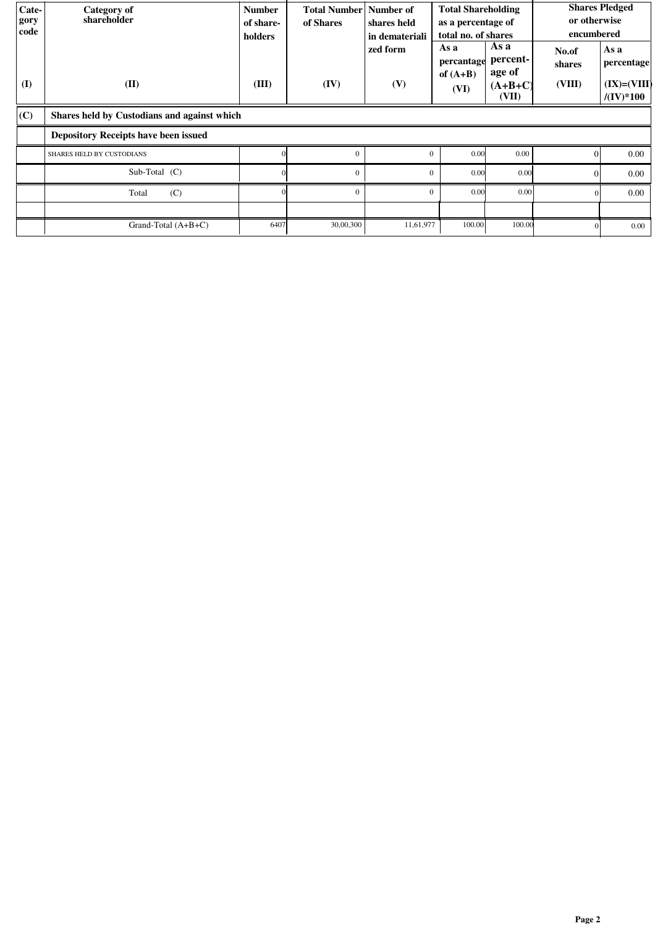| Cate-<br>gory<br>code | Category of<br>shareholder                  | <b>Number</b><br>of share-<br>holders | <b>Total Number</b> Number of<br>of Shares | shares held<br>in demateriali<br>zed form | <b>Total Shareholding</b><br>as a percentage of<br>total no. of shares<br>As a<br>percantage | As a<br>percent-             | or otherwise<br>encumbered<br>No.of<br>shares | <b>Shares Pledged</b><br>As a<br>percentage |
|-----------------------|---------------------------------------------|---------------------------------------|--------------------------------------------|-------------------------------------------|----------------------------------------------------------------------------------------------|------------------------------|-----------------------------------------------|---------------------------------------------|
| (I)                   | (II)                                        | (III)                                 | (IV)                                       | (V)                                       | of $(A+B)$<br>(VI)                                                                           | age of<br>$(A+B+C)$<br>(VII) | (VIII)                                        | $(IX)=(VIII)$<br>$/(\mathrm{IV})^*100$      |
| (C)                   | Shares held by Custodians and against which |                                       |                                            |                                           |                                                                                              |                              |                                               |                                             |
|                       | Depository Receipts have been issued        |                                       |                                            |                                           |                                                                                              |                              |                                               |                                             |
|                       | SHARES HELD BY CUSTODIANS                   |                                       | $\theta$                                   | $\Omega$                                  | 0.00                                                                                         | 0.00                         | $\Omega$                                      | 0.00                                        |
|                       | Sub-Total (C)                               |                                       | $\mathbf{0}$                               | $\Omega$                                  | 0.00                                                                                         | 0.00                         | $\Omega$                                      | 0.00                                        |
|                       | (C)<br>Total                                |                                       | $\Omega$                                   | $\Omega$                                  | 0.00                                                                                         | 0.00                         | $\Omega$                                      | 0.00                                        |
|                       |                                             |                                       |                                            |                                           |                                                                                              |                              |                                               |                                             |
|                       | Grand-Total $(A+B+C)$                       | 6407                                  | 30,00,300                                  | 11,61,977                                 | 100.00                                                                                       | 100.00                       |                                               | $0.00\,$                                    |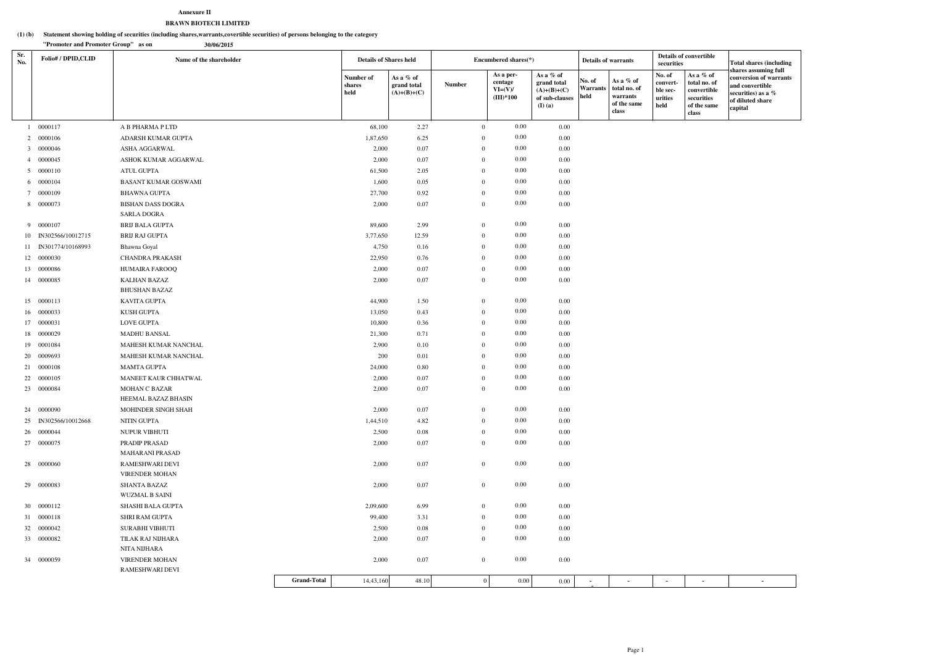#### **Statement showing holding of securities (including shares,warrants,covertible securities) of persons belonging to the category (1) (b)**

#### **Annexure IIBRAWN BIOTECH LIMITED**

|            | "Promoter and Promoter Group" as on<br>30/06/2015 |                                          |                    |                               |                                           |               |                |                                                  |                                                                          |                                           |                                                               |                                                   |                                                                                |                                                                                                                        |
|------------|---------------------------------------------------|------------------------------------------|--------------------|-------------------------------|-------------------------------------------|---------------|----------------|--------------------------------------------------|--------------------------------------------------------------------------|-------------------------------------------|---------------------------------------------------------------|---------------------------------------------------|--------------------------------------------------------------------------------|------------------------------------------------------------------------------------------------------------------------|
| Sr.<br>No. | Folio#/DPID,CLID                                  | Name of the shareholder                  |                    | <b>Details of Shares held</b> |                                           |               |                | Encumbered shares(*)                             |                                                                          | <b>Details of warrants</b>                |                                                               | securities                                        | <b>Details of convertible</b>                                                  | <b>Total shares (including</b>                                                                                         |
|            |                                                   |                                          |                    | Number of<br>shares<br>held   | As a % of<br>grand total<br>$(A)+(B)+(C)$ | <b>Number</b> |                | As a per-<br>centage<br>$VI=(V)/$<br>$(III)*100$ | As a % of<br>grand total<br>$(A)+(B)+(C)$<br>of sub-clauses<br>$(I)$ (a) | $\vert$ No. of<br><b>Warrants</b><br>held | As a % of<br>total no. of<br>warrants<br>of the same<br>class | No. of<br>convert-<br>ble sec-<br>urities<br>held | As a % of<br>total no. of<br>convertible<br>securities<br>of the same<br>class | shares assuming full<br>conversion of warrants<br>and convertible<br>securities) as a %<br>of diluted share<br>capital |
|            | 1 0000117                                         | A B PHARMA P LTD                         |                    | 68,100                        | 2.27                                      |               | $\overline{0}$ | $0.00\,$                                         | 0.00                                                                     |                                           |                                                               |                                                   |                                                                                |                                                                                                                        |
|            | 2 0000106                                         | ADARSH KUMAR GUPTA                       |                    | 1,87,650                      | 6.25                                      |               | $\Omega$       | $0.00\,$                                         | 0.00                                                                     |                                           |                                                               |                                                   |                                                                                |                                                                                                                        |
|            | 3 0000046                                         | ASHA AGGARWAL                            |                    | 2,000                         | 0.07                                      |               | $\Omega$       | $0.00\,$                                         | 0.00                                                                     |                                           |                                                               |                                                   |                                                                                |                                                                                                                        |
|            | 4 0000045                                         | ASHOK KUMAR AGGARWAL                     |                    | 2,000                         | 0.07                                      |               | $\Omega$       | $0.00\,$                                         | 0.00                                                                     |                                           |                                                               |                                                   |                                                                                |                                                                                                                        |
|            | 5 0000110                                         | ATUL GUPTA                               |                    | 61,500                        | 2.05                                      |               | $\overline{0}$ | $0.00\,$                                         | 0.00                                                                     |                                           |                                                               |                                                   |                                                                                |                                                                                                                        |
|            | 6 0000104                                         | <b>BASANT KUMAR GOSWAMI</b>              |                    | 1,600                         | 0.05                                      |               | $\Omega$       | $0.00\,$                                         | 0.00                                                                     |                                           |                                                               |                                                   |                                                                                |                                                                                                                        |
|            | 7 0000109                                         | BHAWNA GUPTA                             |                    | 27,700                        | 0.92                                      |               | $\theta$       | $0.00\,$                                         | 0.00                                                                     |                                           |                                                               |                                                   |                                                                                |                                                                                                                        |
|            | 8 0000073                                         | <b>BISHAN DASS DOGRA</b>                 |                    | 2,000                         | 0.07                                      |               | $\overline{0}$ | $0.00\,$                                         | 0.00                                                                     |                                           |                                                               |                                                   |                                                                                |                                                                                                                        |
|            |                                                   | <b>SARLA DOGRA</b>                       |                    |                               |                                           |               |                |                                                  |                                                                          |                                           |                                                               |                                                   |                                                                                |                                                                                                                        |
|            | 9 0000107                                         | <b>BRIJ BALA GUPTA</b>                   |                    | 89,600                        | 2.99                                      |               | $\overline{0}$ | $0.00\,$                                         | 0.00                                                                     |                                           |                                                               |                                                   |                                                                                |                                                                                                                        |
|            | 10 IN302566/10012715                              | BRIJ RAJ GUPTA                           |                    | 3,77,650                      | 12.59                                     |               | $\overline{0}$ | $0.00\,$                                         | 0.00                                                                     |                                           |                                                               |                                                   |                                                                                |                                                                                                                        |
|            | 11 IN301774/10168993                              | Bhawna Goyal                             |                    | 4,750                         | 0.16                                      |               | $\overline{0}$ | $0.00\,$                                         | 0.00                                                                     |                                           |                                                               |                                                   |                                                                                |                                                                                                                        |
|            | 12 0000030                                        | <b>CHANDRA PRAKASH</b>                   |                    | 22,950                        | 0.76                                      |               | $\Omega$       | $0.00\,$                                         | 0.00                                                                     |                                           |                                                               |                                                   |                                                                                |                                                                                                                        |
|            | 13 0000086                                        | HUMAIRA FAROOQ                           |                    | 2,000                         | 0.07                                      |               | $\overline{0}$ | $0.00\,$                                         | 0.00                                                                     |                                           |                                                               |                                                   |                                                                                |                                                                                                                        |
|            | 14 0000085                                        | <b>KALHAN BAZAZ</b>                      |                    | 2,000                         | 0.07                                      |               | $\theta$       | $0.00\,$                                         | 0.00                                                                     |                                           |                                                               |                                                   |                                                                                |                                                                                                                        |
|            |                                                   | <b>BHUSHAN BAZAZ</b>                     |                    |                               |                                           |               |                |                                                  |                                                                          |                                           |                                                               |                                                   |                                                                                |                                                                                                                        |
|            | 15 0000113                                        | KAVITA GUPTA                             |                    | 44,900                        | 1.50                                      |               | $\overline{0}$ | $0.00\,$                                         | 0.00                                                                     |                                           |                                                               |                                                   |                                                                                |                                                                                                                        |
|            | 16 0000033                                        | KUSH GUPTA                               |                    | 13,050                        | 0.43                                      |               | $\overline{0}$ | $0.00\,$                                         | 0.00                                                                     |                                           |                                                               |                                                   |                                                                                |                                                                                                                        |
|            | 17 0000031                                        | <b>LOVE GUPTA</b>                        |                    | 10,800                        | 0.36                                      |               | $\Omega$       | $0.00\,$                                         | 0.00                                                                     |                                           |                                                               |                                                   |                                                                                |                                                                                                                        |
|            | 18 0000029                                        | <b>MADHU BANSAL</b>                      |                    | 21,300                        | 0.71                                      |               | $\Omega$       | $0.00\,$                                         | 0.00                                                                     |                                           |                                                               |                                                   |                                                                                |                                                                                                                        |
|            | 19 0001084                                        | MAHESH KUMAR NANCHAL                     |                    | 2,900                         | 0.10                                      |               | $\Omega$       | $0.00\,$                                         | 0.00                                                                     |                                           |                                                               |                                                   |                                                                                |                                                                                                                        |
|            | 20 0009693                                        | MAHESH KUMAR NANCHAL                     |                    | 200                           | 0.01                                      |               | $\Omega$       | $0.00\,$                                         | 0.00                                                                     |                                           |                                                               |                                                   |                                                                                |                                                                                                                        |
|            | 21 0000108                                        | <b>MAMTA GUPTA</b>                       |                    | 24,000                        | 0.80                                      |               | $\theta$       | $0.00\,$                                         | 0.00                                                                     |                                           |                                                               |                                                   |                                                                                |                                                                                                                        |
|            | 22 0000105                                        | MANEET KAUR CHHATWAL                     |                    | 2,000                         | 0.07                                      |               | $\theta$       | $0.00\,$                                         | 0.00                                                                     |                                           |                                                               |                                                   |                                                                                |                                                                                                                        |
|            | 23 0000084                                        | MOHAN C BAZAR<br>HEEMAL BAZAZ BHASIN     |                    | 2,000                         | 0.07                                      |               | $\overline{0}$ | $0.00\,$                                         | $0.00\,$                                                                 |                                           |                                                               |                                                   |                                                                                |                                                                                                                        |
|            | 24 0000090                                        | MOHINDER SINGH SHAH                      |                    | 2,000                         | 0.07                                      |               | $\overline{0}$ | $0.00\,$                                         | $0.00\,$                                                                 |                                           |                                                               |                                                   |                                                                                |                                                                                                                        |
|            | 25 IN302566/10012668                              | NITIN GUPTA                              |                    | 1,44,510                      | 4.82                                      |               | $\overline{0}$ | $0.00\,$                                         | 0.00                                                                     |                                           |                                                               |                                                   |                                                                                |                                                                                                                        |
|            | 26 0000044                                        | NUPUR VIBHUTI                            |                    | 2,500                         | 0.08                                      |               | $\overline{0}$ | $0.00\,$                                         | 0.00                                                                     |                                           |                                                               |                                                   |                                                                                |                                                                                                                        |
|            | 27 0000075                                        | PRADIP PRASAD                            |                    | 2,000                         | 0.07                                      |               | $\overline{0}$ | $0.00\,$                                         | 0.00                                                                     |                                           |                                                               |                                                   |                                                                                |                                                                                                                        |
|            |                                                   | MAHARANI PRASAD                          |                    |                               |                                           |               |                |                                                  |                                                                          |                                           |                                                               |                                                   |                                                                                |                                                                                                                        |
|            | 28 0000060                                        | RAMESHWARI DEVI<br><b>VIRENDER MOHAN</b> |                    | 2,000                         | 0.07                                      |               | $\overline{0}$ | $0.00\,$                                         | $0.00\,$                                                                 |                                           |                                                               |                                                   |                                                                                |                                                                                                                        |
|            | 29 00000083                                       | SHANTA BAZAZ                             |                    | 2,000                         | 0.07                                      |               | $\overline{0}$ | $0.00\,$                                         | $0.00\,$                                                                 |                                           |                                                               |                                                   |                                                                                |                                                                                                                        |
|            |                                                   | <b>WUZMAL B SAINI</b>                    |                    |                               |                                           |               |                |                                                  |                                                                          |                                           |                                                               |                                                   |                                                                                |                                                                                                                        |
|            | 30 0000112                                        | SHASHI BALA GUPTA                        |                    | 2,09,600                      | 6.99                                      |               | $\overline{0}$ | $0.00\,$                                         | 0.00                                                                     |                                           |                                                               |                                                   |                                                                                |                                                                                                                        |
|            | 31 0000118                                        | SHRI RAM GUPTA                           |                    | 99,400                        | 3.31                                      |               | $\overline{0}$ | $0.00\,$                                         | 0.00                                                                     |                                           |                                                               |                                                   |                                                                                |                                                                                                                        |
|            | 32 0000042                                        | SURABHI VIBHUTI                          |                    | 2,500                         | 0.08                                      |               | $\overline{0}$ | $0.00\,$                                         | 0.00                                                                     |                                           |                                                               |                                                   |                                                                                |                                                                                                                        |
|            | 33 0000082                                        | TILAK RAJ NIJHARA                        |                    | 2,000                         | 0.07                                      |               | $\overline{0}$ | $0.00\,$                                         | 0.00                                                                     |                                           |                                                               |                                                   |                                                                                |                                                                                                                        |
|            |                                                   | NITA NIJHARA                             |                    |                               |                                           |               |                |                                                  |                                                                          |                                           |                                                               |                                                   |                                                                                |                                                                                                                        |
|            | 34 0000059                                        | <b>VIRENDER MOHAN</b>                    |                    | 2,000                         | 0.07                                      |               | $\overline{0}$ | $0.00\,$                                         | 0.00                                                                     |                                           |                                                               |                                                   |                                                                                |                                                                                                                        |
|            |                                                   | RAMESHWARI DEVI                          | <b>Grand-Total</b> |                               |                                           |               |                |                                                  |                                                                          |                                           |                                                               |                                                   |                                                                                |                                                                                                                        |
|            |                                                   |                                          |                    | 14,43,160                     | 48.10                                     |               | $\overline{0}$ | 0.00                                             | $0.00\,$                                                                 |                                           |                                                               | $\overline{\phantom{a}}$                          |                                                                                |                                                                                                                        |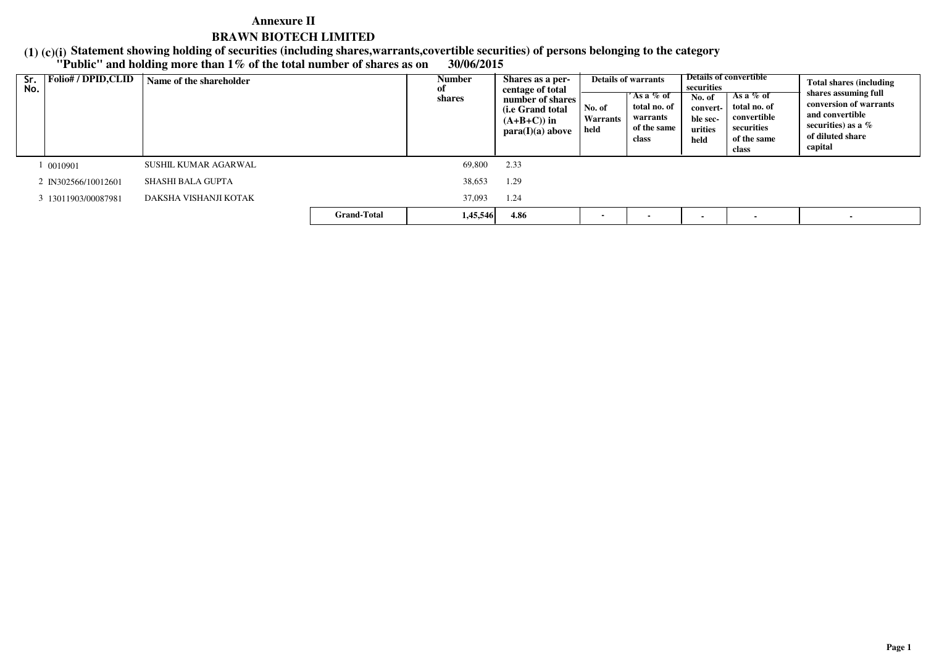**Statement showing holding of securities (including shares,warrants,covertible securities) of persons belonging to the category**

# **(1) (c)(i) "Public" and holding more than 1% of the total number of shares as on 30/06/2015**

| Sr.<br>No. | <b>Folio#/DPID,CLID</b> | Name of the shareholder |                    | Number<br>0Ī<br>shares | Shares as a per-<br>centage of total<br>number of shares  <br>( <i>i.e</i> Grand total<br>$(A+B+C)$ in<br>para(I)(a) above | No. of<br>Warrants<br>held | <b>Details of warrants</b><br>$'$ As a $\%$ of<br>total no. of<br>warrants<br>of the same<br>class | securities<br>No. of<br>convert-<br>ble sec-<br>urities<br>held | <b>Details of convertible</b><br>As a $%$ of<br>total no. of<br>convertible<br>securities<br>of the same<br>class | <b>Total shares (including)</b><br>shares assuming full<br>conversion of warrants<br>and convertible<br>securities) as a $%$<br>of diluted share<br>capital |
|------------|-------------------------|-------------------------|--------------------|------------------------|----------------------------------------------------------------------------------------------------------------------------|----------------------------|----------------------------------------------------------------------------------------------------|-----------------------------------------------------------------|-------------------------------------------------------------------------------------------------------------------|-------------------------------------------------------------------------------------------------------------------------------------------------------------|
|            | 0010901                 | SUSHIL KUMAR AGARWAL    |                    | 69.800                 | 2.33                                                                                                                       |                            |                                                                                                    |                                                                 |                                                                                                                   |                                                                                                                                                             |
|            | 2 IN302566/10012601     | SHASHI BALA GUPTA       |                    | 38,653                 | 1.29                                                                                                                       |                            |                                                                                                    |                                                                 |                                                                                                                   |                                                                                                                                                             |
|            | 3 13011903/00087981     | DAKSHA VISHANJI KOTAK   |                    | 37,093                 | 1.24                                                                                                                       |                            |                                                                                                    |                                                                 |                                                                                                                   |                                                                                                                                                             |
|            |                         |                         | <b>Grand-Total</b> | 1,45,546               | 4.86                                                                                                                       |                            |                                                                                                    |                                                                 |                                                                                                                   | $\overline{\phantom{a}}$                                                                                                                                    |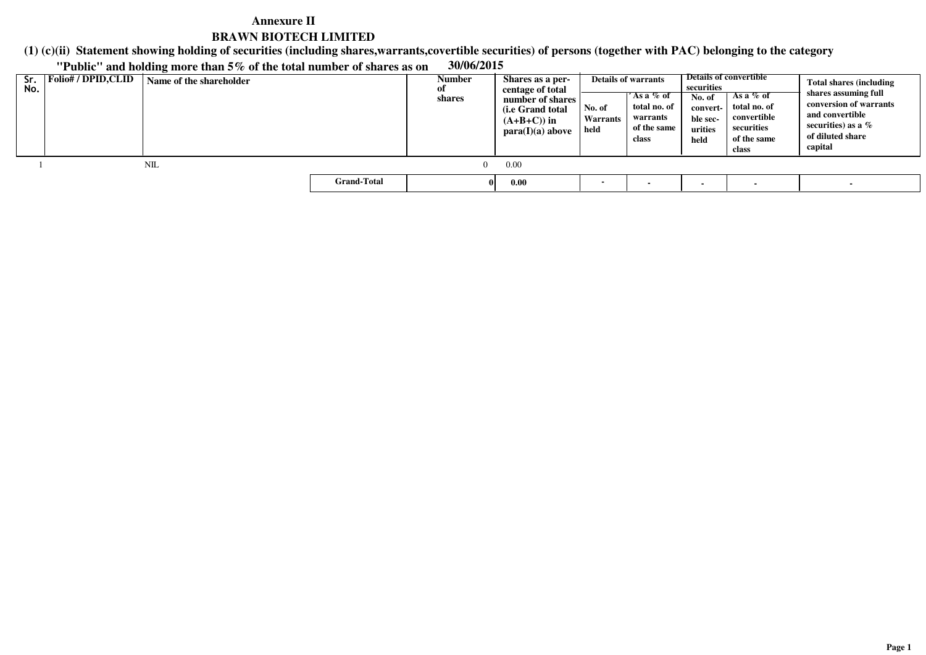**(1) (c)(ii)Statement showing holding of securities (including shares,warrants,covertible securities) of persons (together with PAC) belonging to the category**

**"Public" and holding more than 5% of the total number of shares as on 30/06/2015**

| Sr.<br>No. | Folio# / DPID,CLID | Name of the shareholder |                    | Number<br>0Ī<br>shares | Shares as a per-<br>centage of total<br>number of shares<br>(i.e Grand total)<br>$(A+B+C)$ in<br>para(I)(a) above | No. of<br>Warrants<br>held | <b>Details of warrants</b><br>'As a % of<br>total no. of<br>warrants<br>of the same<br>class | securities<br>No. of<br>convert-<br>ble sec-<br>urities<br>held | Details of convertible<br>As a $%$ of<br>total no. of<br>convertible<br>securities<br>of the same<br>class | <b>Total shares (including</b><br>shares assuming full<br>conversion of warrants<br>and convertible<br>securities) as a $%$<br>of diluted share<br>capital |
|------------|--------------------|-------------------------|--------------------|------------------------|-------------------------------------------------------------------------------------------------------------------|----------------------------|----------------------------------------------------------------------------------------------|-----------------------------------------------------------------|------------------------------------------------------------------------------------------------------------|------------------------------------------------------------------------------------------------------------------------------------------------------------|
|            |                    | NIL                     |                    |                        | 0.00                                                                                                              |                            |                                                                                              |                                                                 |                                                                                                            |                                                                                                                                                            |
|            |                    |                         | <b>Grand-Total</b> |                        | 0.00                                                                                                              |                            |                                                                                              |                                                                 |                                                                                                            |                                                                                                                                                            |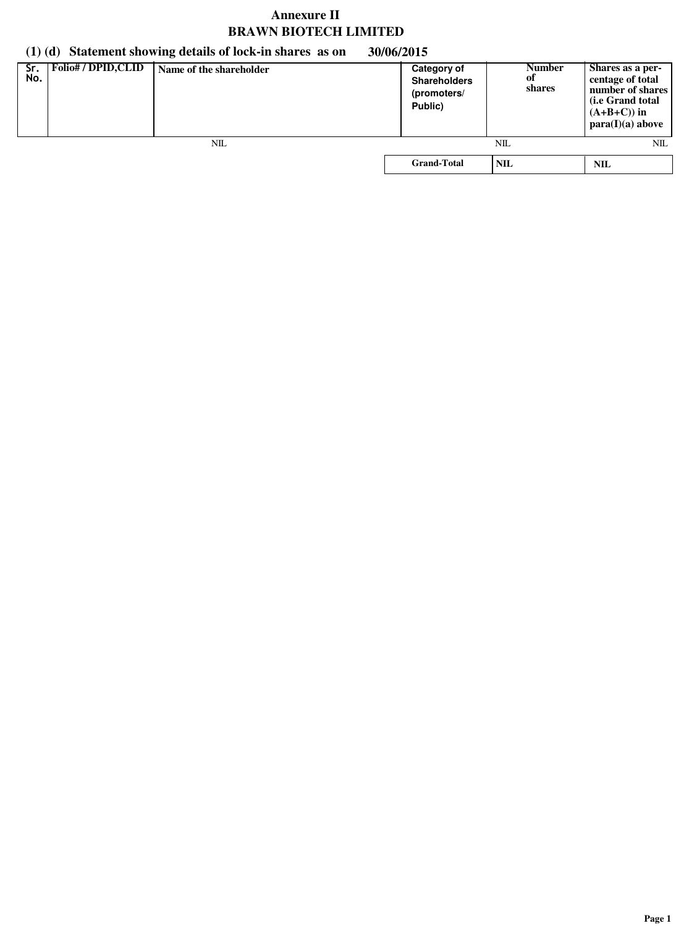# **(1) (d) Statement showing details of lock-in shares as on 30/06/2015**

| Sr.<br>No. | <b>Folio#/DPID,CLID</b> | Name of the shareholder | <b>Category of</b><br><b>Shareholders</b><br>(promoters/<br>Public) | <b>Number</b><br>of<br>shares | Shares as a per-<br>centage of total<br>number of shares<br>( <i>i.e</i> Grand total<br>$(A+B+C)$ in<br>para(I)(a) above |
|------------|-------------------------|-------------------------|---------------------------------------------------------------------|-------------------------------|--------------------------------------------------------------------------------------------------------------------------|
|            |                         | NIL                     |                                                                     | NΙL                           | NIL                                                                                                                      |
|            |                         |                         | <b>Grand-Total</b>                                                  | <b>NIL</b>                    | NIL                                                                                                                      |